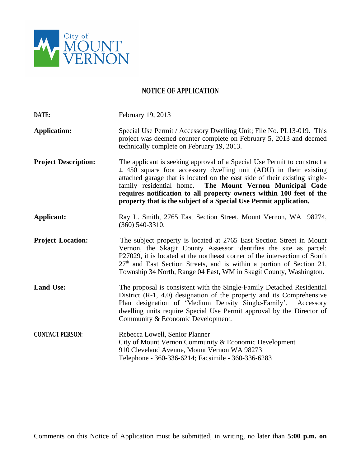

## **NOTICE OF APPLICATION**

| DATE:                       | February 19, 2013                                                                                                                                                                                                                                                                                                                                                                                                                       |
|-----------------------------|-----------------------------------------------------------------------------------------------------------------------------------------------------------------------------------------------------------------------------------------------------------------------------------------------------------------------------------------------------------------------------------------------------------------------------------------|
| <b>Application:</b>         | Special Use Permit / Accessory Dwelling Unit; File No. PL13-019. This<br>project was deemed counter complete on February 5, 2013 and deemed<br>technically complete on February 19, 2013.                                                                                                                                                                                                                                               |
| <b>Project Description:</b> | The applicant is seeking approval of a Special Use Permit to construct a<br>$\pm$ 450 square foot accessory dwelling unit (ADU) in their existing<br>attached garage that is located on the east side of their existing single-<br>family residential home. The Mount Vernon Municipal Code<br>requires notification to all property owners within 100 feet of the<br>property that is the subject of a Special Use Permit application. |
| <b>Applicant:</b>           | Ray L. Smith, 2765 East Section Street, Mount Vernon, WA 98274,<br>$(360)$ 540-3310.                                                                                                                                                                                                                                                                                                                                                    |
| <b>Project Location:</b>    | The subject property is located at 2765 East Section Street in Mount<br>Vernon, the Skagit County Assessor identifies the site as parcel:<br>P27029, it is located at the northeast corner of the intersection of South<br>$27th$ and East Section Streets, and is within a portion of Section 21,<br>Township 34 North, Range 04 East, WM in Skagit County, Washington.                                                                |
| <b>Land Use:</b>            | The proposal is consistent with the Single-Family Detached Residential<br>District (R-1, 4.0) designation of the property and its Comprehensive<br>Plan designation of 'Medium Density Single-Family'. Accessory<br>dwelling units require Special Use Permit approval by the Director of<br>Community & Economic Development.                                                                                                          |
| <b>CONTACT PERSON:</b>      | Rebecca Lowell, Senior Planner<br>City of Mount Vernon Community & Economic Development<br>910 Cleveland Avenue, Mount Vernon WA 98273<br>Telephone - 360-336-6214; Facsimile - 360-336-6283                                                                                                                                                                                                                                            |